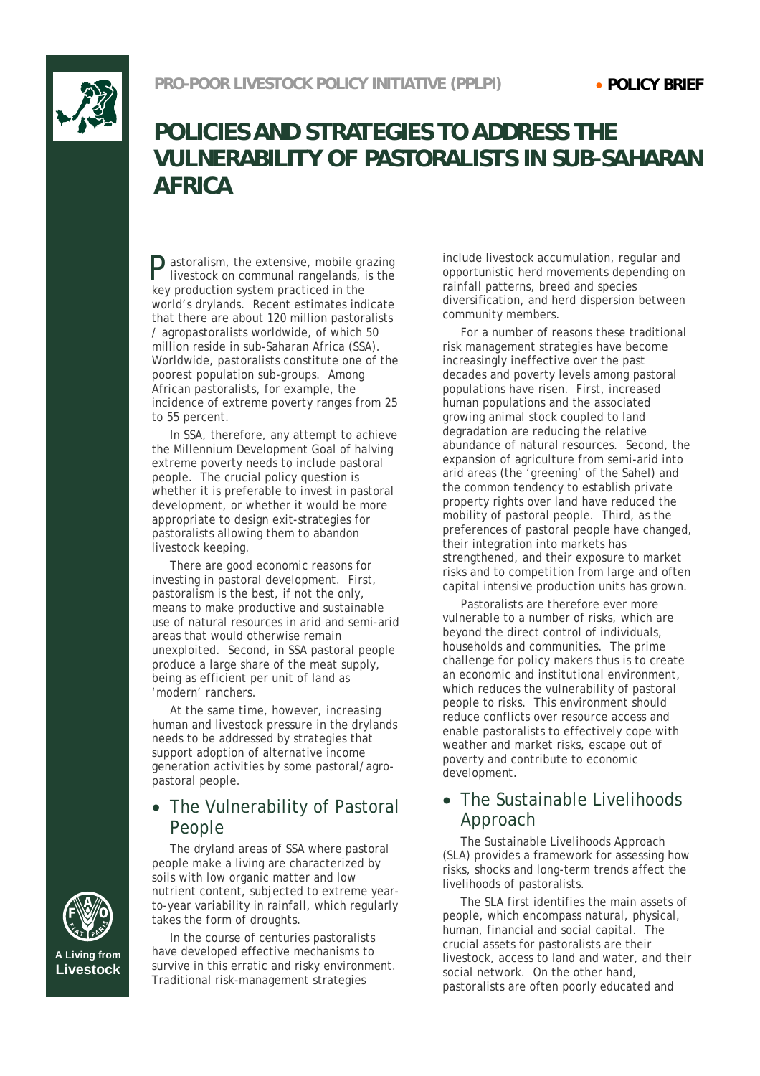

# **POLICIES AND STRATEGIES TO ADDRESS THE VULNERABILITY OF PASTORALISTS IN SUB-SAHARAN AFRICA**

astoralism, the extensive, mobile grazing P livestock on communal rangelands, is the key production system practiced in the world's drylands. Recent estimates indicate that there are about 120 million pastoralists / agropastoralists worldwide, of which 50 million reside in sub-Saharan Africa (SSA). Worldwide, pastoralists constitute one of the poorest population sub-groups. Among African pastoralists, for example, the incidence of extreme poverty ranges from 25 to 55 percent.

In SSA, therefore, any attempt to achieve the Millennium Development Goal of halving extreme poverty needs to include pastoral people. The crucial policy question is whether it is preferable to invest in pastoral development, or whether it would be more appropriate to design exit-strategies for pastoralists allowing them to abandon livestock keeping.

There are good economic reasons for investing in pastoral development. First, pastoralism is the best, if not the only, means to make productive and sustainable use of natural resources in arid and semi-arid areas that would otherwise remain unexploited. Second, in SSA pastoral people produce a large share of the meat supply, being as efficient per unit of land as 'modern' ranchers.

At the same time, however, increasing human and livestock pressure in the drylands needs to be addressed by strategies that support adoption of alternative income generation activities by some pastoral/agropastoral people.

### • The Vulnerability of Pastoral People

The dryland areas of SSA where pastoral people make a living are characterized by soils with low organic matter and low nutrient content, subjected to extreme yearto-year variability in rainfall, which regularly takes the form of droughts.

In the course of centuries pastoralists have developed effective mechanisms to survive in this erratic and risky environment. Traditional risk-management strategies

include livestock accumulation, regular and opportunistic herd movements depending on rainfall patterns, breed and species diversification, and herd dispersion between community members.

For a number of reasons these traditional risk management strategies have become increasingly ineffective over the past decades and poverty levels among pastoral populations have risen. First, increased human populations and the associated growing animal stock coupled to land degradation are reducing the relative abundance of natural resources. Second, the expansion of agriculture from semi-arid into arid areas (the 'greening' of the Sahel) and the common tendency to establish private property rights over land have reduced the mobility of pastoral people. Third, as the preferences of pastoral people have changed, their integration into markets has strengthened, and their exposure to market risks and to competition from large and often capital intensive production units has grown.

Pastoralists are therefore ever more vulnerable to a number of risks, which are beyond the direct control of individuals, households and communities. The prime challenge for policy makers thus is to create an economic and institutional environment, which reduces the vulnerability of pastoral people to risks. This environment should reduce conflicts over resource access and enable pastoralists to effectively cope with weather and market risks, escape out of poverty and contribute to economic development.

### • The Sustainable Livelihoods Approach

The Sustainable Livelihoods Approach (SLA) provides a framework for assessing how risks, shocks and long-term trends affect the livelihoods of pastoralists.

The SLA first identifies the main assets of people, which encompass natural, physical, human, financial and social capital. The crucial assets for pastoralists are their livestock, access to land and water, and their social network. On the other hand, pastoralists are often poorly educated and



**A Living from Livestock**